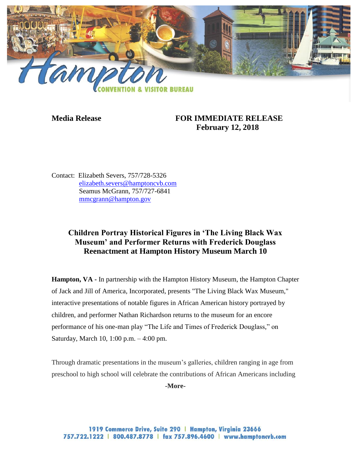

## **Media Release FOR IMMEDIATE RELEASE February 12, 2018**

Contact: Elizabeth Severs, 757/728-5326 [elizabeth.severs@hamptoncvb.com](mailto:elizabeth.severs@hamptoncvb.com) Seamus McGrann, 757/727-6841 [mmcgrann@hampton.gov](mailto:mmcgrann@hampton.gov)

## **Children Portray Historical Figures in 'The Living Black Wax Museum' and Performer Returns with Frederick Douglass Reenactment at Hampton History Museum March 10**

**Hampton, VA -** In partnership with the Hampton History Museum, the Hampton Chapter of Jack and Jill of America, Incorporated, presents "The Living Black Wax Museum," interactive presentations of notable figures in African American history portrayed by children, and performer Nathan Richardson returns to the museum for an encore performance of his one-man play "The Life and Times of Frederick Douglass," on Saturday, March 10, 1:00 p.m. – 4:00 pm.

Through dramatic presentations in the museum's galleries, children ranging in age from preschool to high school will celebrate the contributions of African Americans including

**-More-**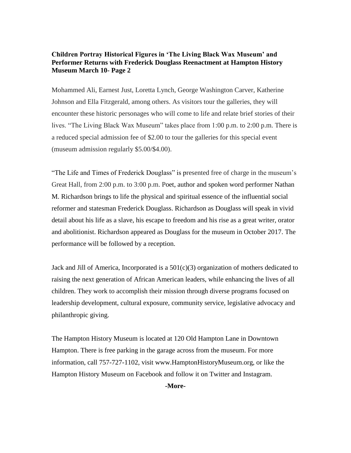## **Children Portray Historical Figures in 'The Living Black Wax Museum' and Performer Returns with Frederick Douglass Reenactment at Hampton History Museum March 10- Page 2**

Mohammed Ali, Earnest Just, Loretta Lynch, George Washington Carver, Katherine Johnson and Ella Fitzgerald, among others. As visitors tour the galleries, they will encounter these historic personages who will come to life and relate brief stories of their lives. "The Living Black Wax Museum" takes place from 1:00 p.m. to 2:00 p.m. There is a reduced special admission fee of \$2.00 to tour the galleries for this special event (museum admission regularly \$5.00/\$4.00).

"The Life and Times of Frederick Douglass" is presented free of charge in the museum's Great Hall, from 2:00 p.m. to 3:00 p.m. Poet, author and spoken word performer Nathan M. Richardson brings to life the physical and spiritual essence of the influential social reformer and statesman Frederick Douglass. Richardson as Douglass will speak in vivid detail about his life as a slave, his escape to freedom and his rise as a great writer, orator and abolitionist. Richardson appeared as Douglass for the museum in October 2017. The performance will be followed by a reception.

Jack and Jill of America, Incorporated is a  $501(c)(3)$  organization of mothers dedicated to raising the next generation of African American leaders, while enhancing the lives of all children. They work to accomplish their mission through diverse programs focused on leadership development, cultural exposure, community service, legislative advocacy and philanthropic giving.

The Hampton History Museum is located at 120 Old Hampton Lane in Downtown Hampton. There is free parking in the garage across from the museum. For more information, call 757-727-1102, visit www.HamptonHistoryMuseum.org, or like the Hampton History Museum on Facebook and follow it on Twitter and Instagram.

**-More-**